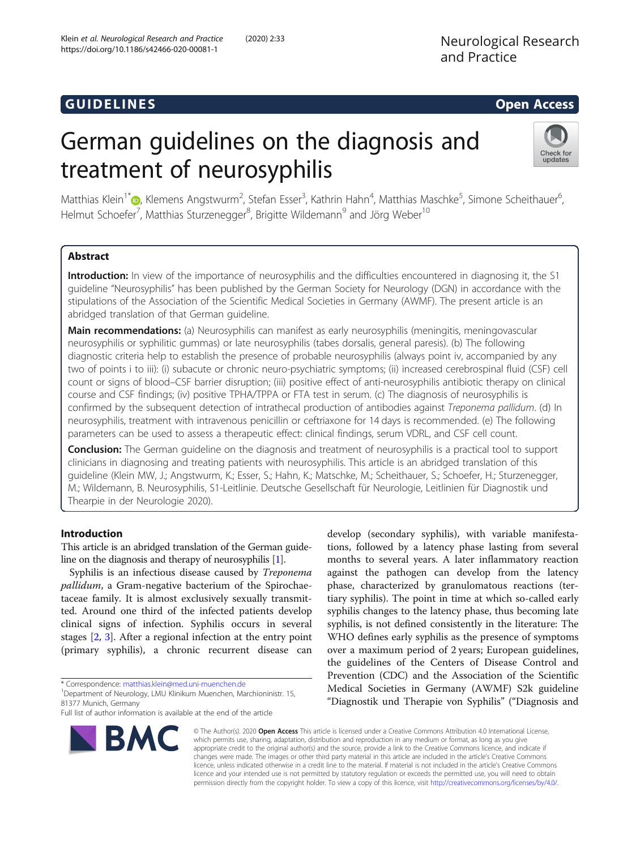# **GUIDELINES** Open Access **CONTRACTES**

# German guidelines on the diagnosis and treatment of neurosyphilis



Matthias Klein<sup>1\*</sup> (**b**[,](http://orcid.org/0000-0001-9064-6865) Klemens Angstwurm<sup>2</sup>, Stefan Esser<sup>3</sup>, Kathrin Hahn<sup>4</sup>, Matthias Maschke<sup>5</sup>, Simone Scheithauer<sup>6</sup> , Helmut Schoefer<sup>7</sup>, Matthias Sturzenegger<sup>8</sup>, Brigitte Wildemann<sup>9</sup> and Jörg Weber<sup>10</sup>

# Abstract

Introduction: In view of the importance of neurosyphilis and the difficulties encountered in diagnosing it, the S1 guideline "Neurosyphilis" has been published by the German Society for Neurology (DGN) in accordance with the stipulations of the Association of the Scientific Medical Societies in Germany (AWMF). The present article is an abridged translation of that German guideline.

Main recommendations: (a) Neurosyphilis can manifest as early neurosyphilis (meningitis, meningovascular neurosyphilis or syphilitic gummas) or late neurosyphilis (tabes dorsalis, general paresis). (b) The following diagnostic criteria help to establish the presence of probable neurosyphilis (always point iv, accompanied by any two of points i to iii): (i) subacute or chronic neuro-psychiatric symptoms; (ii) increased cerebrospinal fluid (CSF) cell count or signs of blood–CSF barrier disruption; (iii) positive effect of anti-neurosyphilis antibiotic therapy on clinical course and CSF findings; (iv) positive TPHA/TPPA or FTA test in serum. (c) The diagnosis of neurosyphilis is confirmed by the subsequent detection of intrathecal production of antibodies against Treponema pallidum. (d) In neurosyphilis, treatment with intravenous penicillin or ceftriaxone for 14 days is recommended. (e) The following parameters can be used to assess a therapeutic effect: clinical findings, serum VDRL, and CSF cell count.

Conclusion: The German quideline on the diagnosis and treatment of neurosyphilis is a practical tool to support clinicians in diagnosing and treating patients with neurosyphilis. This article is an abridged translation of this guideline (Klein MW, J.; Angstwurm, K.; Esser, S.; Hahn, K.; Matschke, M.; Scheithauer, S.; Schoefer, H.; Sturzenegger, M.; Wildemann, B. Neurosyphilis, S1-Leitlinie. Deutsche Gesellschaft für Neurologie, Leitlinien für Diagnostik und Thearpie in der Neurologie 2020).

# Introduction

This article is an abridged translation of the German guideline on the diagnosis and therapy of neurosyphilis [\[1\]](#page-7-0).

Syphilis is an infectious disease caused by Treponema pallidum, a Gram-negative bacterium of the Spirochaetaceae family. It is almost exclusively sexually transmitted. Around one third of the infected patients develop clinical signs of infection. Syphilis occurs in several stages [\[2](#page-7-0), [3](#page-7-0)]. After a regional infection at the entry point (primary syphilis), a chronic recurrent disease can

Full list of author information is available at the end of the article



develop (secondary syphilis), with variable manifestations, followed by a latency phase lasting from several months to several years. A later inflammatory reaction against the pathogen can develop from the latency phase, characterized by granulomatous reactions (tertiary syphilis). The point in time at which so-called early syphilis changes to the latency phase, thus becoming late syphilis, is not defined consistently in the literature: The WHO defines early syphilis as the presence of symptoms over a maximum period of 2 years; European guidelines, the guidelines of the Centers of Disease Control and Prevention (CDC) and the Association of the Scientific Medical Societies in Germany (AWMF) S2k guideline "Diagnostik und Therapie von Syphilis" ("Diagnosis and

© The Author(s). 2020 Open Access This article is licensed under a Creative Commons Attribution 4.0 International License, which permits use, sharing, adaptation, distribution and reproduction in any medium or format, as long as you give appropriate credit to the original author(s) and the source, provide a link to the Creative Commons licence, and indicate if changes were made. The images or other third party material in this article are included in the article's Creative Commons licence, unless indicated otherwise in a credit line to the material. If material is not included in the article's Creative Commons licence and your intended use is not permitted by statutory regulation or exceeds the permitted use, you will need to obtain permission directly from the copyright holder. To view a copy of this licence, visit [http://creativecommons.org/licenses/by/4.0/.](http://creativecommons.org/licenses/by/4.0/)

<sup>\*</sup> Correspondence: [matthias.klein@med.uni-muenchen.de](mailto:matthias.klein@med.uni-muenchen.de) <sup>1</sup>

<sup>&</sup>lt;sup>1</sup> Department of Neurology, LMU Klinikum Muenchen, Marchioninistr. 15, 81377 Munich, Germany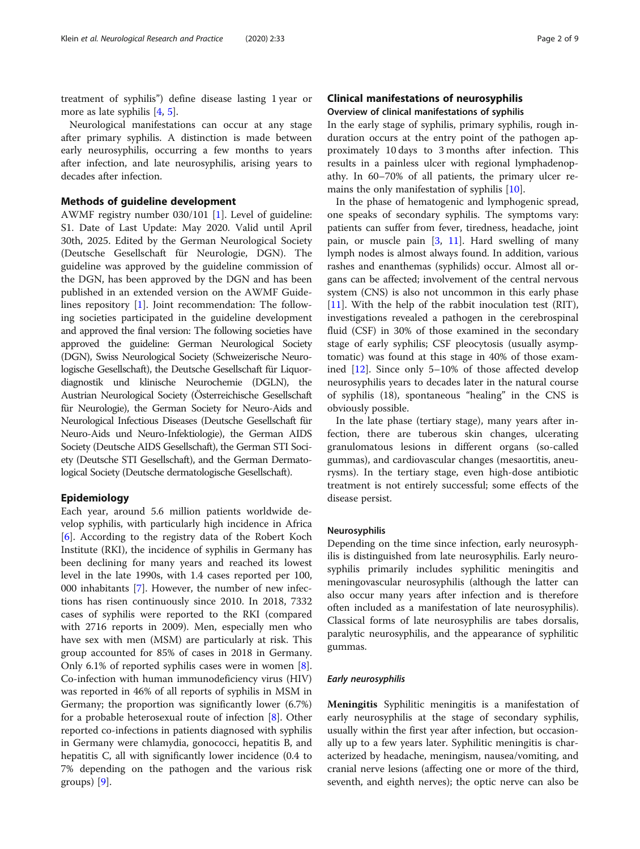treatment of syphilis") define disease lasting 1 year or more as late syphilis [[4,](#page-7-0) [5\]](#page-7-0).

Neurological manifestations can occur at any stage after primary syphilis. A distinction is made between early neurosyphilis, occurring a few months to years after infection, and late neurosyphilis, arising years to decades after infection.

#### Methods of guideline development

AWMF registry number 030/101 [[1\]](#page-7-0). Level of guideline: S1. Date of Last Update: May 2020. Valid until April 30th, 2025. Edited by the German Neurological Society (Deutsche Gesellschaft für Neurologie, DGN). The guideline was approved by the guideline commission of the DGN, has been approved by the DGN and has been published in an extended version on the AWMF Guidelines repository [[1\]](#page-7-0). Joint recommendation: The following societies participated in the guideline development and approved the final version: The following societies have approved the guideline: German Neurological Society (DGN), Swiss Neurological Society (Schweizerische Neurologische Gesellschaft), the Deutsche Gesellschaft für Liquordiagnostik und klinische Neurochemie (DGLN), the Austrian Neurological Society (Österreichische Gesellschaft für Neurologie), the German Society for Neuro-Aids and Neurological Infectious Diseases (Deutsche Gesellschaft für Neuro-Aids und Neuro-Infektiologie), the German AIDS Society (Deutsche AIDS Gesellschaft), the German STI Society (Deutsche STI Gesellschaft), and the German Dermatological Society (Deutsche dermatologische Gesellschaft).

#### Epidemiology

Each year, around 5.6 million patients worldwide develop syphilis, with particularly high incidence in Africa [[6\]](#page-7-0). According to the registry data of the Robert Koch Institute (RKI), the incidence of syphilis in Germany has been declining for many years and reached its lowest level in the late 1990s, with 1.4 cases reported per 100, 000 inhabitants [\[7](#page-7-0)]. However, the number of new infections has risen continuously since 2010. In 2018, 7332 cases of syphilis were reported to the RKI (compared with 2716 reports in 2009). Men, especially men who have sex with men (MSM) are particularly at risk. This group accounted for 85% of cases in 2018 in Germany. Only 6.1% of reported syphilis cases were in women [\[8](#page-7-0)]. Co-infection with human immunodeficiency virus (HIV) was reported in 46% of all reports of syphilis in MSM in Germany; the proportion was significantly lower (6.7%) for a probable heterosexual route of infection [[8\]](#page-7-0). Other reported co-infections in patients diagnosed with syphilis in Germany were chlamydia, gonococci, hepatitis B, and hepatitis C, all with significantly lower incidence (0.4 to 7% depending on the pathogen and the various risk groups) [[9\]](#page-7-0).

# Clinical manifestations of neurosyphilis Overview of clinical manifestations of syphilis

In the early stage of syphilis, primary syphilis, rough induration occurs at the entry point of the pathogen approximately 10 days to 3 months after infection. This results in a painless ulcer with regional lymphadenopathy. In 60–70% of all patients, the primary ulcer remains the only manifestation of syphilis [[10\]](#page-7-0).

In the phase of hematogenic and lymphogenic spread, one speaks of secondary syphilis. The symptoms vary: patients can suffer from fever, tiredness, headache, joint pain, or muscle pain [[3,](#page-7-0) [11](#page-7-0)]. Hard swelling of many lymph nodes is almost always found. In addition, various rashes and enanthemas (syphilids) occur. Almost all organs can be affected; involvement of the central nervous system (CNS) is also not uncommon in this early phase [[11\]](#page-7-0). With the help of the rabbit inoculation test (RIT), investigations revealed a pathogen in the cerebrospinal fluid (CSF) in 30% of those examined in the secondary stage of early syphilis; CSF pleocytosis (usually asymptomatic) was found at this stage in 40% of those examined [\[12](#page-7-0)]. Since only 5–10% of those affected develop neurosyphilis years to decades later in the natural course of syphilis (18), spontaneous "healing" in the CNS is obviously possible.

In the late phase (tertiary stage), many years after infection, there are tuberous skin changes, ulcerating granulomatous lesions in different organs (so-called gummas), and cardiovascular changes (mesaortitis, aneurysms). In the tertiary stage, even high-dose antibiotic treatment is not entirely successful; some effects of the disease persist.

#### Neurosyphilis

Depending on the time since infection, early neurosyphilis is distinguished from late neurosyphilis. Early neurosyphilis primarily includes syphilitic meningitis and meningovascular neurosyphilis (although the latter can also occur many years after infection and is therefore often included as a manifestation of late neurosyphilis). Classical forms of late neurosyphilis are tabes dorsalis, paralytic neurosyphilis, and the appearance of syphilitic gummas.

#### Early neurosyphilis

Meningitis Syphilitic meningitis is a manifestation of early neurosyphilis at the stage of secondary syphilis, usually within the first year after infection, but occasionally up to a few years later. Syphilitic meningitis is characterized by headache, meningism, nausea/vomiting, and cranial nerve lesions (affecting one or more of the third, seventh, and eighth nerves); the optic nerve can also be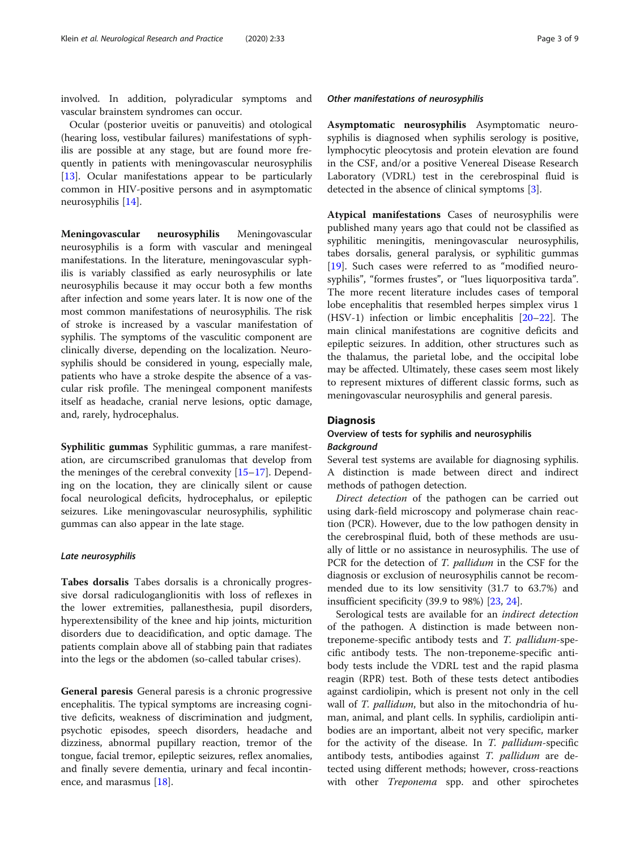involved. In addition, polyradicular symptoms and vascular brainstem syndromes can occur.

Ocular (posterior uveitis or panuveitis) and otological (hearing loss, vestibular failures) manifestations of syphilis are possible at any stage, but are found more frequently in patients with meningovascular neurosyphilis [[13\]](#page-7-0). Ocular manifestations appear to be particularly common in HIV-positive persons and in asymptomatic neurosyphilis [[14\]](#page-7-0).

Meningovascular neurosyphilis Meningovascular neurosyphilis is a form with vascular and meningeal manifestations. In the literature, meningovascular syphilis is variably classified as early neurosyphilis or late neurosyphilis because it may occur both a few months after infection and some years later. It is now one of the most common manifestations of neurosyphilis. The risk of stroke is increased by a vascular manifestation of syphilis. The symptoms of the vasculitic component are clinically diverse, depending on the localization. Neurosyphilis should be considered in young, especially male, patients who have a stroke despite the absence of a vascular risk profile. The meningeal component manifests itself as headache, cranial nerve lesions, optic damage, and, rarely, hydrocephalus.

Syphilitic gummas Syphilitic gummas, a rare manifestation, are circumscribed granulomas that develop from the meninges of the cerebral convexity [\[15](#page-7-0)–[17\]](#page-7-0). Depending on the location, they are clinically silent or cause focal neurological deficits, hydrocephalus, or epileptic seizures. Like meningovascular neurosyphilis, syphilitic gummas can also appear in the late stage.

#### Late neurosyphilis

Tabes dorsalis Tabes dorsalis is a chronically progressive dorsal radiculoganglionitis with loss of reflexes in the lower extremities, pallanesthesia, pupil disorders, hyperextensibility of the knee and hip joints, micturition disorders due to deacidification, and optic damage. The patients complain above all of stabbing pain that radiates into the legs or the abdomen (so-called tabular crises).

General paresis General paresis is a chronic progressive encephalitis. The typical symptoms are increasing cognitive deficits, weakness of discrimination and judgment, psychotic episodes, speech disorders, headache and dizziness, abnormal pupillary reaction, tremor of the tongue, facial tremor, epileptic seizures, reflex anomalies, and finally severe dementia, urinary and fecal incontinence, and marasmus [\[18](#page-7-0)].

#### Other manifestations of neurosyphilis

Asymptomatic neurosyphilis Asymptomatic neurosyphilis is diagnosed when syphilis serology is positive, lymphocytic pleocytosis and protein elevation are found in the CSF, and/or a positive Venereal Disease Research Laboratory (VDRL) test in the cerebrospinal fluid is detected in the absence of clinical symptoms [\[3](#page-7-0)].

Atypical manifestations Cases of neurosyphilis were published many years ago that could not be classified as syphilitic meningitis, meningovascular neurosyphilis, tabes dorsalis, general paralysis, or syphilitic gummas [[19\]](#page-7-0). Such cases were referred to as "modified neurosyphilis", "formes frustes", or "lues liquorpositiva tarda". The more recent literature includes cases of temporal lobe encephalitis that resembled herpes simplex virus 1 (HSV-1) infection or limbic encephalitis [\[20](#page-7-0)–[22\]](#page-7-0). The main clinical manifestations are cognitive deficits and epileptic seizures. In addition, other structures such as the thalamus, the parietal lobe, and the occipital lobe may be affected. Ultimately, these cases seem most likely to represent mixtures of different classic forms, such as meningovascular neurosyphilis and general paresis.

#### **Diagnosis**

### Overview of tests for syphilis and neurosyphilis Background

Several test systems are available for diagnosing syphilis. A distinction is made between direct and indirect methods of pathogen detection.

Direct detection of the pathogen can be carried out using dark-field microscopy and polymerase chain reaction (PCR). However, due to the low pathogen density in the cerebrospinal fluid, both of these methods are usually of little or no assistance in neurosyphilis. The use of PCR for the detection of T. pallidum in the CSF for the diagnosis or exclusion of neurosyphilis cannot be recommended due to its low sensitivity (31.7 to 63.7%) and insufficient specificity (39.9 to 98%) [\[23](#page-7-0), [24](#page-7-0)].

Serological tests are available for an indirect detection of the pathogen. A distinction is made between nontreponeme-specific antibody tests and T. pallidum-specific antibody tests. The non-treponeme-specific antibody tests include the VDRL test and the rapid plasma reagin (RPR) test. Both of these tests detect antibodies against cardiolipin, which is present not only in the cell wall of T. *pallidum*, but also in the mitochondria of human, animal, and plant cells. In syphilis, cardiolipin antibodies are an important, albeit not very specific, marker for the activity of the disease. In T. *pallidum*-specific antibody tests, antibodies against T. pallidum are detected using different methods; however, cross-reactions with other Treponema spp. and other spirochetes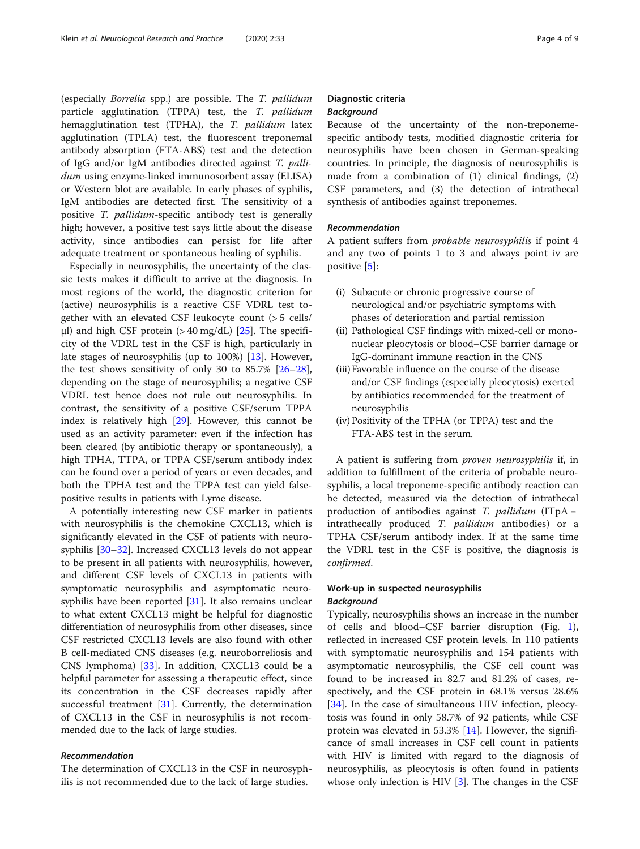(especially Borrelia spp.) are possible. The T. pallidum particle agglutination (TPPA) test, the T. pallidum hemagglutination test (TPHA), the T. pallidum latex agglutination (TPLA) test, the fluorescent treponemal antibody absorption (FTA-ABS) test and the detection of IgG and/or IgM antibodies directed against T. pallidum using enzyme-linked immunosorbent assay (ELISA) or Western blot are available. In early phases of syphilis, IgM antibodies are detected first. The sensitivity of a positive T. pallidum-specific antibody test is generally high; however, a positive test says little about the disease activity, since antibodies can persist for life after adequate treatment or spontaneous healing of syphilis.

Especially in neurosyphilis, the uncertainty of the classic tests makes it difficult to arrive at the diagnosis. In most regions of the world, the diagnostic criterion for (active) neurosyphilis is a reactive CSF VDRL test together with an elevated CSF leukocyte count (> 5 cells/ μl) and high CSF protein (> 40 mg/dL) [\[25\]](#page-7-0). The specificity of the VDRL test in the CSF is high, particularly in late stages of neurosyphilis (up to 100%) [\[13\]](#page-7-0). However, the test shows sensitivity of only 30 to 85.7%  $[26-28]$  $[26-28]$  $[26-28]$  $[26-28]$  $[26-28]$ , depending on the stage of neurosyphilis; a negative CSF VDRL test hence does not rule out neurosyphilis. In contrast, the sensitivity of a positive CSF/serum TPPA index is relatively high [[29\]](#page-7-0). However, this cannot be used as an activity parameter: even if the infection has been cleared (by antibiotic therapy or spontaneously), a high TPHA, TTPA, or TPPA CSF/serum antibody index can be found over a period of years or even decades, and both the TPHA test and the TPPA test can yield falsepositive results in patients with Lyme disease.

A potentially interesting new CSF marker in patients with neurosyphilis is the chemokine CXCL13, which is significantly elevated in the CSF of patients with neurosyphilis [\[30](#page-7-0)–[32\]](#page-7-0). Increased CXCL13 levels do not appear to be present in all patients with neurosyphilis, however, and different CSF levels of CXCL13 in patients with symptomatic neurosyphilis and asymptomatic neuro-syphilis have been reported [[31\]](#page-7-0). It also remains unclear to what extent CXCL13 might be helpful for diagnostic differentiation of neurosyphilis from other diseases, since CSF restricted CXCL13 levels are also found with other B cell-mediated CNS diseases (e.g. neuroborreliosis and CNS lymphoma) [[33\]](#page-7-0). In addition, CXCL13 could be a helpful parameter for assessing a therapeutic effect, since its concentration in the CSF decreases rapidly after successful treatment [[31](#page-7-0)]. Currently, the determination of CXCL13 in the CSF in neurosyphilis is not recommended due to the lack of large studies.

#### Recommendation

The determination of CXCL13 in the CSF in neurosyphilis is not recommended due to the lack of large studies.

### Diagnostic criteria Background

Because of the uncertainty of the non-treponemespecific antibody tests, modified diagnostic criteria for neurosyphilis have been chosen in German-speaking countries. In principle, the diagnosis of neurosyphilis is made from a combination of (1) clinical findings, (2) CSF parameters, and (3) the detection of intrathecal synthesis of antibodies against treponemes.

#### Recommendation

A patient suffers from probable neurosyphilis if point 4 and any two of points 1 to 3 and always point iv are positive [\[5](#page-7-0)]:

- (i) Subacute or chronic progressive course of neurological and/or psychiatric symptoms with phases of deterioration and partial remission
- (ii) Pathological CSF findings with mixed-cell or mononuclear pleocytosis or blood–CSF barrier damage or IgG-dominant immune reaction in the CNS
- (iii)Favorable influence on the course of the disease and/or CSF findings (especially pleocytosis) exerted by antibiotics recommended for the treatment of neurosyphilis
- (iv) Positivity of the TPHA (or TPPA) test and the FTA-ABS test in the serum.

A patient is suffering from proven neurosyphilis if, in addition to fulfillment of the criteria of probable neurosyphilis, a local treponeme-specific antibody reaction can be detected, measured via the detection of intrathecal production of antibodies against T. *pallidum* ( $ITpA =$ intrathecally produced T. pallidum antibodies) or a TPHA CSF/serum antibody index. If at the same time the VDRL test in the CSF is positive, the diagnosis is confirmed.

### Work-up in suspected neurosyphilis Background

Typically, neurosyphilis shows an increase in the number of cells and blood–CSF barrier disruption (Fig. [1](#page-4-0)), reflected in increased CSF protein levels. In 110 patients with symptomatic neurosyphilis and 154 patients with asymptomatic neurosyphilis, the CSF cell count was found to be increased in 82.7 and 81.2% of cases, respectively, and the CSF protein in 68.1% versus 28.6% [[34\]](#page-7-0). In the case of simultaneous HIV infection, pleocytosis was found in only 58.7% of 92 patients, while CSF protein was elevated in 53.3% [[14\]](#page-7-0). However, the significance of small increases in CSF cell count in patients with HIV is limited with regard to the diagnosis of neurosyphilis, as pleocytosis is often found in patients whose only infection is HIV [\[3](#page-7-0)]. The changes in the CSF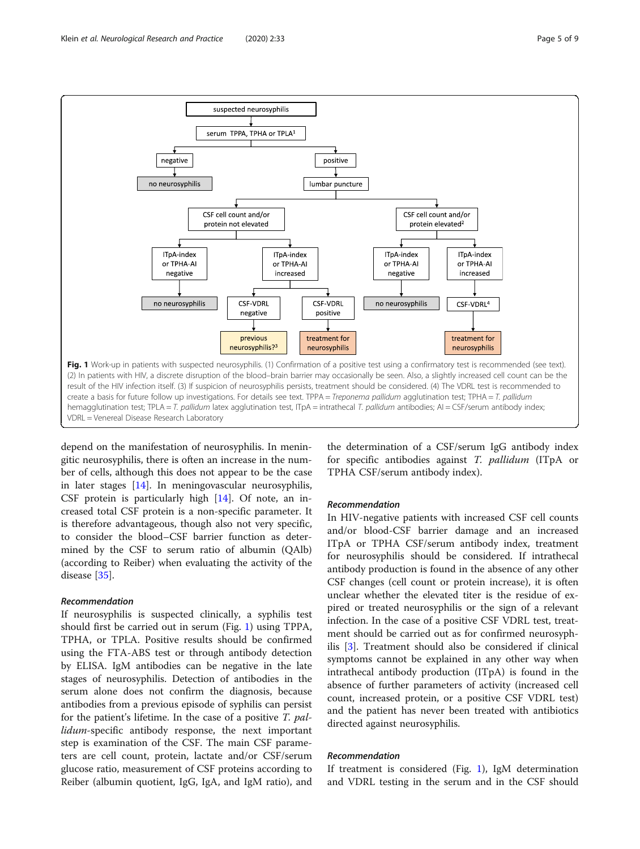<span id="page-4-0"></span>

depend on the manifestation of neurosyphilis. In meningitic neurosyphilis, there is often an increase in the number of cells, although this does not appear to be the case in later stages [[14\]](#page-7-0). In meningovascular neurosyphilis, CSF protein is particularly high  $[14]$  $[14]$  $[14]$ . Of note, an increased total CSF protein is a non-specific parameter. It is therefore advantageous, though also not very specific, to consider the blood–CSF barrier function as determined by the CSF to serum ratio of albumin (QAlb) (according to Reiber) when evaluating the activity of the disease [\[35](#page-7-0)].

#### Recommendation

If neurosyphilis is suspected clinically, a syphilis test should first be carried out in serum (Fig. 1) using TPPA, TPHA, or TPLA. Positive results should be confirmed using the FTA-ABS test or through antibody detection by ELISA. IgM antibodies can be negative in the late stages of neurosyphilis. Detection of antibodies in the serum alone does not confirm the diagnosis, because antibodies from a previous episode of syphilis can persist for the patient's lifetime. In the case of a positive T. pallidum-specific antibody response, the next important step is examination of the CSF. The main CSF parameters are cell count, protein, lactate and/or CSF/serum glucose ratio, measurement of CSF proteins according to Reiber (albumin quotient, IgG, IgA, and IgM ratio), and the determination of a CSF/serum IgG antibody index for specific antibodies against T. pallidum (ITpA or TPHA CSF/serum antibody index).

#### Recommendation

In HIV-negative patients with increased CSF cell counts and/or blood-CSF barrier damage and an increased ITpA or TPHA CSF/serum antibody index, treatment for neurosyphilis should be considered. If intrathecal antibody production is found in the absence of any other CSF changes (cell count or protein increase), it is often unclear whether the elevated titer is the residue of expired or treated neurosyphilis or the sign of a relevant infection. In the case of a positive CSF VDRL test, treatment should be carried out as for confirmed neurosyphilis [[3\]](#page-7-0). Treatment should also be considered if clinical symptoms cannot be explained in any other way when intrathecal antibody production (ITpA) is found in the absence of further parameters of activity (increased cell count, increased protein, or a positive CSF VDRL test) and the patient has never been treated with antibiotics directed against neurosyphilis.

## Recommendation

If treatment is considered (Fig. 1), IgM determination and VDRL testing in the serum and in the CSF should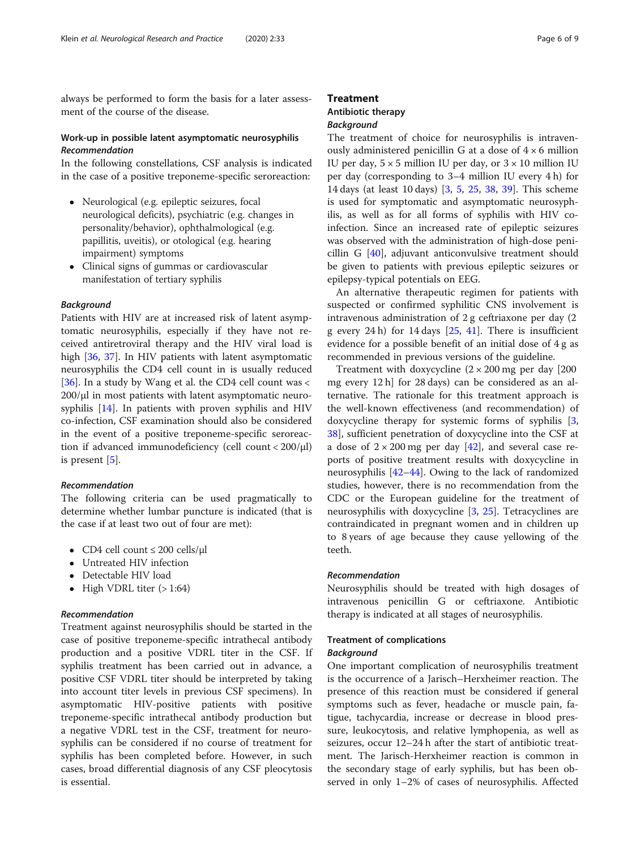always be performed to form the basis for a later assessment of the course of the disease.

#### Work-up in possible latent asymptomatic neurosyphilis Recommendation

In the following constellations, CSF analysis is indicated in the case of a positive treponeme-specific seroreaction:

- Neurological (e.g. epileptic seizures, focal neurological deficits), psychiatric (e.g. changes in personality/behavior), ophthalmological (e.g. papillitis, uveitis), or otological (e.g. hearing impairment) symptoms
- Clinical signs of gummas or cardiovascular manifestation of tertiary syphilis

#### **Background**

Patients with HIV are at increased risk of latent asymptomatic neurosyphilis, especially if they have not received antiretroviral therapy and the HIV viral load is high [\[36](#page-7-0), [37\]](#page-7-0). In HIV patients with latent asymptomatic neurosyphilis the CD4 cell count in is usually reduced [[36\]](#page-7-0). In a study by Wang et al. the CD4 cell count was  $\lt$  $200/\mu$  in most patients with latent asymptomatic neurosyphilis [\[14](#page-7-0)]. In patients with proven syphilis and HIV co-infection, CSF examination should also be considered in the event of a positive treponeme-specific seroreaction if advanced immunodeficiency (cell count < 200/μl) is present [\[5](#page-7-0)].

#### Recommendation

The following criteria can be used pragmatically to determine whether lumbar puncture is indicated (that is the case if at least two out of four are met):

- CD4 cell count  $\leq 200$  cells/ $\mu$ l
- Untreated HIV infection
- Detectable HIV load
- High VDRL titer  $(>1:64)$

#### Recommendation

Treatment against neurosyphilis should be started in the case of positive treponeme-specific intrathecal antibody production and a positive VDRL titer in the CSF. If syphilis treatment has been carried out in advance, a positive CSF VDRL titer should be interpreted by taking into account titer levels in previous CSF specimens). In asymptomatic HIV-positive patients with positive treponeme-specific intrathecal antibody production but a negative VDRL test in the CSF, treatment for neurosyphilis can be considered if no course of treatment for syphilis has been completed before. However, in such cases, broad differential diagnosis of any CSF pleocytosis is essential.

# **Treatment** Antibiotic therapy Background

The treatment of choice for neurosyphilis is intravenously administered penicillin G at a dose of  $4 \times 6$  million IU per day,  $5 \times 5$  million IU per day, or  $3 \times 10$  million IU per day (corresponding to 3–4 million IU every 4 h) for 14 days (at least 10 days) [\[3](#page-7-0), [5,](#page-7-0) [25,](#page-7-0) [38](#page-7-0), [39](#page-7-0)]. This scheme is used for symptomatic and asymptomatic neurosyphilis, as well as for all forms of syphilis with HIV coinfection. Since an increased rate of epileptic seizures was observed with the administration of high-dose penicillin G [[40](#page-7-0)], adjuvant anticonvulsive treatment should be given to patients with previous epileptic seizures or epilepsy-typical potentials on EEG.

An alternative therapeutic regimen for patients with suspected or confirmed syphilitic CNS involvement is intravenous administration of 2 g ceftriaxone per day (2 g every 24 h) for 14 days  $[25, 41]$  $[25, 41]$  $[25, 41]$  $[25, 41]$ . There is insufficient evidence for a possible benefit of an initial dose of 4 g as recommended in previous versions of the guideline.

Treatment with doxycycline  $(2 \times 200 \text{ mg per day } 200$ mg every 12 h] for 28 days) can be considered as an alternative. The rationale for this treatment approach is the well-known effectiveness (and recommendation) of doxycycline therapy for systemic forms of syphilis [\[3](#page-7-0), [38\]](#page-7-0), sufficient penetration of doxycycline into the CSF at a dose of  $2 \times 200$  mg per day [\[42](#page-7-0)], and several case reports of positive treatment results with doxycycline in neurosyphilis [\[42](#page-7-0)–[44](#page-7-0)]. Owing to the lack of randomized studies, however, there is no recommendation from the CDC or the European guideline for the treatment of neurosyphilis with doxycycline [[3,](#page-7-0) [25](#page-7-0)]. Tetracyclines are contraindicated in pregnant women and in children up to 8 years of age because they cause yellowing of the teeth.

#### Recommendation

Neurosyphilis should be treated with high dosages of intravenous penicillin G or ceftriaxone. Antibiotic therapy is indicated at all stages of neurosyphilis.

# Treatment of complications

#### Background

One important complication of neurosyphilis treatment is the occurrence of a Jarisch–Herxheimer reaction. The presence of this reaction must be considered if general symptoms such as fever, headache or muscle pain, fatigue, tachycardia, increase or decrease in blood pressure, leukocytosis, and relative lymphopenia, as well as seizures, occur 12–24 h after the start of antibiotic treatment. The Jarisch-Herxheimer reaction is common in the secondary stage of early syphilis, but has been observed in only 1–2% of cases of neurosyphilis. Affected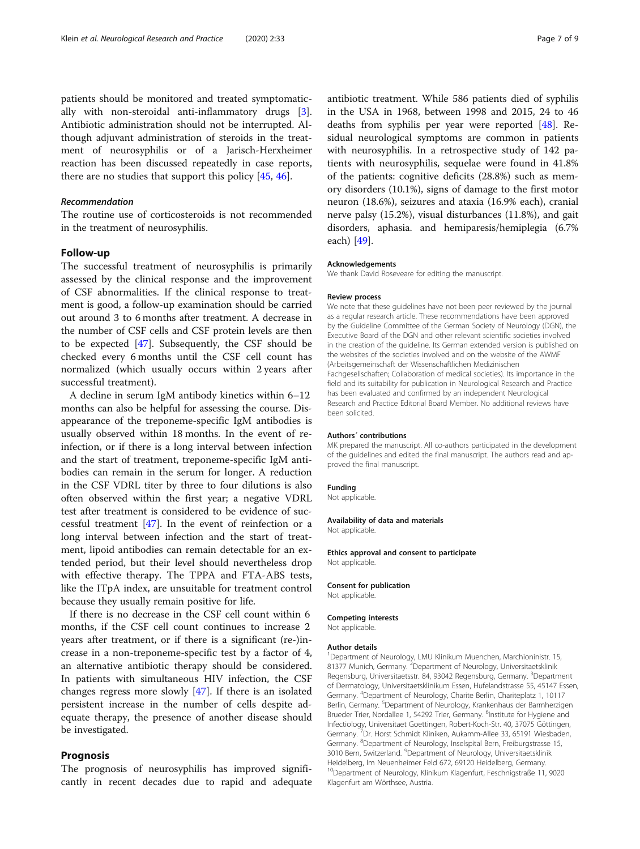patients should be monitored and treated symptomatically with non-steroidal anti-inflammatory drugs [\[3](#page-7-0)]. Antibiotic administration should not be interrupted. Although adjuvant administration of steroids in the treatment of neurosyphilis or of a Jarisch-Herxheimer reaction has been discussed repeatedly in case reports, there are no studies that support this policy [\[45,](#page-7-0) [46\]](#page-7-0).

#### Recommendation

The routine use of corticosteroids is not recommended in the treatment of neurosyphilis.

#### Follow-up

The successful treatment of neurosyphilis is primarily assessed by the clinical response and the improvement of CSF abnormalities. If the clinical response to treatment is good, a follow-up examination should be carried out around 3 to 6 months after treatment. A decrease in the number of CSF cells and CSF protein levels are then to be expected [\[47](#page-7-0)]. Subsequently, the CSF should be checked every 6 months until the CSF cell count has normalized (which usually occurs within 2 years after successful treatment).

A decline in serum IgM antibody kinetics within 6–12 months can also be helpful for assessing the course. Disappearance of the treponeme-specific IgM antibodies is usually observed within 18 months. In the event of reinfection, or if there is a long interval between infection and the start of treatment, treponeme-specific IgM antibodies can remain in the serum for longer. A reduction in the CSF VDRL titer by three to four dilutions is also often observed within the first year; a negative VDRL test after treatment is considered to be evidence of successful treatment [[47\]](#page-7-0). In the event of reinfection or a long interval between infection and the start of treatment, lipoid antibodies can remain detectable for an extended period, but their level should nevertheless drop with effective therapy. The TPPA and FTA-ABS tests, like the ITpA index, are unsuitable for treatment control because they usually remain positive for life.

If there is no decrease in the CSF cell count within 6 months, if the CSF cell count continues to increase 2 years after treatment, or if there is a significant (re-)increase in a non-treponeme-specific test by a factor of 4, an alternative antibiotic therapy should be considered. In patients with simultaneous HIV infection, the CSF changes regress more slowly [\[47](#page-7-0)]. If there is an isolated persistent increase in the number of cells despite adequate therapy, the presence of another disease should be investigated.

#### Prognosis

The prognosis of neurosyphilis has improved significantly in recent decades due to rapid and adequate

antibiotic treatment. While 586 patients died of syphilis in the USA in 1968, between 1998 and 2015, 24 to 46 deaths from syphilis per year were reported [\[48](#page-7-0)]. Residual neurological symptoms are common in patients with neurosyphilis. In a retrospective study of 142 patients with neurosyphilis, sequelae were found in 41.8% of the patients: cognitive deficits (28.8%) such as memory disorders (10.1%), signs of damage to the first motor neuron (18.6%), seizures and ataxia (16.9% each), cranial nerve palsy (15.2%), visual disturbances (11.8%), and gait disorders, aphasia. and hemiparesis/hemiplegia (6.7% each) [[49](#page-8-0)].

#### Acknowledgements

We thank David Roseveare for editing the manuscript.

#### Review process

We note that these guidelines have not been peer reviewed by the journal as a regular research article. These recommendations have been approved by the Guideline Committee of the German Society of Neurology (DGN), the Executive Board of the DGN and other relevant scientific societies involved in the creation of the guideline. Its German extended version is published on the websites of the societies involved and on the website of the AWMF (Arbeitsgemeinschaft der Wissenschaftlichen Medizinischen Fachgesellschaften; Collaboration of medical societies). Its importance in the field and its suitability for publication in Neurological Research and Practice has been evaluated and confirmed by an independent Neurological Research and Practice Editorial Board Member. No additional reviews have been solicited.

#### Authors´ contributions

MK prepared the manuscript. All co-authors participated in the development of the guidelines and edited the final manuscript. The authors read and approved the final manuscript.

#### Funding

Not applicable.

#### Availability of data and materials

Not applicable.

Ethics approval and consent to participate Not applicable.

Consent for publication Not applicable.

#### Competing interests

Not applicable.

#### Author details

<sup>1</sup>Department of Neurology, LMU Klinikum Muenchen, Marchioninistr. 15, 81377 Munich, Germany. <sup>2</sup> Department of Neurology, Universitaetsklinik Regensburg, Universitaetsstr. 84, 93042 Regensburg, Germany. <sup>3</sup>Department of Dermatology, Universitaetsklinikum Essen, Hufelandstrasse 55, 45147 Essen, Germany. <sup>4</sup>Department of Neurology, Charite Berlin, Chariteplatz 1, 10117 Berlin, Germany. <sup>5</sup>Department of Neurology, Krankenhaus der Barmherzigen Brueder Trier, Nordallee 1, 54292 Trier, Germany. <sup>6</sup>Institute for Hygiene and Infectiology, Universitaet Goettingen, Robert-Koch-Str. 40, 37075 Göttingen, Germany.<sup>7</sup> Dr. Horst Schmidt Kliniken, Aukamm-Allee 33, 65191 Wiesbaden, Germany. <sup>8</sup>Department of Neurology, Inselspital Bern, Freiburgstrasse 15, 3010 Bern, Switzerland. <sup>9</sup>Department of Neurology, Universitaetsklinik Heidelberg, Im Neuenheimer Feld 672, 69120 Heidelberg, Germany. <sup>10</sup>Department of Neurology, Klinikum Klagenfurt, Feschnigstraße 11, 9020 Klagenfurt am Wörthsee, Austria.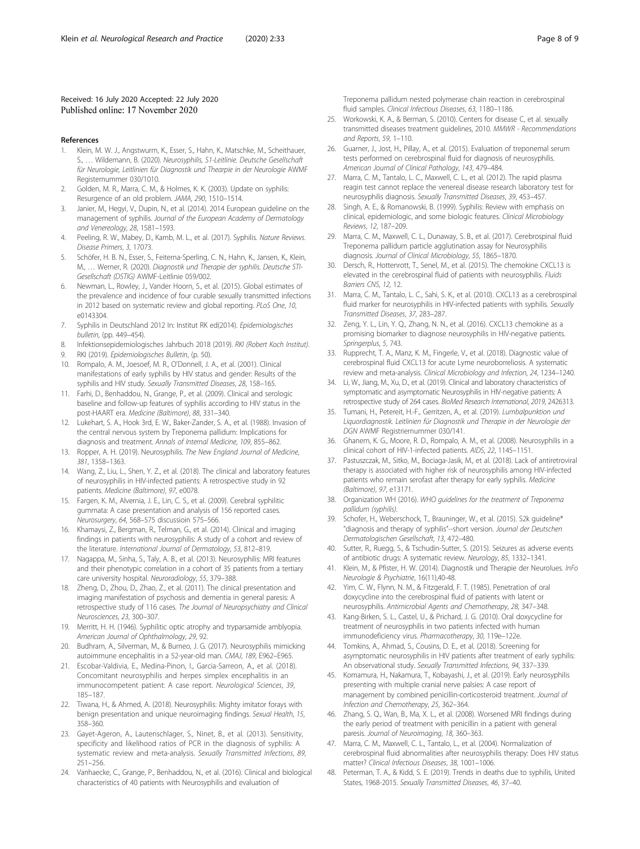#### <span id="page-7-0"></span>Received: 16 July 2020 Accepted: 22 July 2020 Published online: 17 November 2020

#### References

- 1. Klein, M. W. J., Angstwurm, K., Esser, S., Hahn, K., Matschke, M., Scheithauer, S., … Wildemann, B. (2020). Neurosyphilis, S1-Leitlinie. Deutsche Gesellschaft für Neurologie, Leitlinien für Diagnostik und Thearpie in der Neurologie AWMF Registernummer 030/1010.
- 2. Golden, M. R., Marra, C. M., & Holmes, K. K. (2003). Update on syphilis: Resurgence of an old problem. JAMA, 290, 1510–1514.
- 3. Janier, M., Hegyi, V., Dupin, N., et al. (2014). 2014 European guideline on the management of syphilis. Journal of the European Academy of Dermatology and Venereology, 28, 1581–1593.
- 4. Peeling, R. W., Mabey, D., Kamb, M. L., et al. (2017). Syphilis. Nature Reviews. Disease Primers, 3, 17073.
- 5. Schöfer, H. B. N., Esser, S., Feiterna-Sperling, C. N., Hahn, K., Jansen, K., Klein, M., … Werner, R. (2020). Diagnostik und Therapie der syphilis. Deutsche STI-Gesellschaft (DSTIG) AWMF-Leitlinie 059/002.
- 6. Newman, L., Rowley, J., Vander Hoorn, S., et al. (2015). Global estimates of the prevalence and incidence of four curable sexually transmitted infections in 2012 based on systematic review and global reporting. PLoS One, 10, e0143304.
- 7. Syphilis in Deutschland 2012 In: Institut RK ed(2014). Epidemiologisches bulletin, (pp. 449–454).
- 8. Infektionsepidemiologisches Jahrbuch 2018 (2019). RKI (Robert Koch Institut).
- 9. RKI (2019). Epidemiologisches Bulletin, (p. 50).
- 10. Rompalo, A. M., Joesoef, M. R., O'Donnell, J. A., et al. (2001). Clinical manifestations of early syphilis by HIV status and gender: Results of the syphilis and HIV study. Sexually Transmitted Diseases, 28, 158–165.
- 11. Farhi, D., Benhaddou, N., Grange, P., et al. (2009). Clinical and serologic baseline and follow-up features of syphilis according to HIV status in the post-HAART era. Medicine (Baltimore), 88, 331–340.
- 12. Lukehart, S. A., Hook 3rd, E. W., Baker-Zander, S. A., et al. (1988). Invasion of the central nervous system by Treponema pallidum: Implications for diagnosis and treatment. Annals of Internal Medicine, 109, 855–862.
- 13. Ropper, A. H. (2019). Neurosyphilis. The New England Journal of Medicine, 381, 1358–1363.
- 14. Wang, Z., Liu, L., Shen, Y. Z., et al. (2018). The clinical and laboratory features of neurosyphilis in HIV-infected patients: A retrospective study in 92 patients. Medicine (Baltimore), 97, e0078.
- 15. Fargen, K. M., Alvernia, J. E., Lin, C. S., et al. (2009). Cerebral syphilitic gummata: A case presentation and analysis of 156 reported cases. Neurosurgery, 64, 568–575 discussioin 575–566.
- 16. Khamaysi, Z., Bergman, R., Telman, G., et al. (2014). Clinical and imaging findings in patients with neurosyphilis: A study of a cohort and review of the literature. International Journal of Dermatology, 53, 812–819.
- 17. Nagappa, M., Sinha, S., Taly, A. B., et al. (2013). Neurosyphilis: MRI features and their phenotypic correlation in a cohort of 35 patients from a tertiary care university hospital. Neuroradiology, 55, 379–388.
- 18. Zheng, D., Zhou, D., Zhao, Z., et al. (2011). The clinical presentation and imaging manifestation of psychosis and dementia in general paresis: A retrospective study of 116 cases. The Journal of Neuropsychiatry and Clinical Neurosciences, 23, 300–307.
- 19. Merritt, H. H. (1946). Syphilitic optic atrophy and tryparsamide amblyopia. American Journal of Ophthalmology, 29, 92.
- 20. Budhram, A., Silverman, M., & Burneo, J. G. (2017). Neurosyphilis mimicking autoimmune encephalitis in a 52-year-old man. CMAJ, 189, E962–E965.
- 21. Escobar-Valdivia, E., Medina-Pinon, I., Garcia-Sarreon, A., et al. (2018). Concomitant neurosyphilis and herpes simplex encephalitis in an immunocompetent patient: A case report. Neurological Sciences, 39, 185–187.
- 22. Tiwana, H., & Ahmed, A. (2018). Neurosyphilis: Mighty imitator forays with benign presentation and unique neuroimaging findings. Sexual Health, 15, 358–360.
- 23. Gayet-Ageron, A., Lautenschlager, S., Ninet, B., et al. (2013). Sensitivity, specificity and likelihood ratios of PCR in the diagnosis of syphilis: A systematic review and meta-analysis. Sexually Transmitted Infections, 89, 251–256.
- 24. Vanhaecke, C., Grange, P., Benhaddou, N., et al. (2016). Clinical and biological characteristics of 40 patients with Neurosyphilis and evaluation of

Treponema pallidum nested polymerase chain reaction in cerebrospinal fluid samples. Clinical Infectious Diseases, 63, 1180-1186.

- 25. Workowski, K. A., & Berman, S. (2010). Centers for disease C, et al. sexually transmitted diseases treatment guidelines, 2010. MMWR - Recommendations and Reports, 59, 1–110.
- 26. Guarner, J., Jost, H., Pillay, A., et al. (2015). Evaluation of treponemal serum tests performed on cerebrospinal fluid for diagnosis of neurosyphilis. American Journal of Clinical Pathology, 143, 479–484.
- 27. Marra, C. M., Tantalo, L. C., Maxwell, C. L., et al. (2012). The rapid plasma reagin test cannot replace the venereal disease research laboratory test for neurosyphilis diagnosis. Sexually Transmitted Diseases, 39, 453–457.
- 28. Singh, A. E., & Romanowski, B. (1999). Syphilis: Review with emphasis on clinical, epidemiologic, and some biologic features. Clinical Microbiology Reviews, 12, 187–209.
- 29. Marra, C. M., Maxwell, C. L., Dunaway, S. B., et al. (2017). Cerebrospinal fluid Treponema pallidum particle agglutination assay for Neurosyphilis diagnosis. Journal of Clinical Microbiology, 55, 1865–1870.
- 30. Dersch, R., Hottenrott, T., Senel, M., et al. (2015). The chemokine CXCL13 is elevated in the cerebrospinal fluid of patients with neurosyphilis. Fluids Barriers CNS, 12, 12.
- 31. Marra, C. M., Tantalo, L. C., Sahi, S. K., et al. (2010). CXCL13 as a cerebrospinal fluid marker for neurosyphilis in HIV-infected patients with syphilis. Sexually Transmitted Diseases, 37, 283–287.
- 32. Zeng, Y. L., Lin, Y. Q., Zhang, N. N., et al. (2016). CXCL13 chemokine as a promising biomarker to diagnose neurosyphilis in HIV-negative patients. Springerplus, 5, 743.
- 33. Rupprecht, T. A., Manz, K. M., Fingerle, V., et al. (2018). Diagnostic value of cerebrospinal fluid CXCL13 for acute Lyme neuroborreliosis. A systematic review and meta-analysis. Clinical Microbiology and Infection, 24, 1234–1240.
- 34. Li, W., Jiang, M., Xu, D., et al. (2019). Clinical and laboratory characteristics of symptomatic and asymptomatic Neurosyphilis in HIV-negative patients: A retrospective study of 264 cases. BioMed Research International, 2019, 2426313.
- 35. Tumani, H., Petereit, H.-F., Gerritzen, A., et al. (2019). Lumbalpunktion und Liquordiagnostik. Leitlinien für Diagnostik und Therapie in der Neurologie der DGN AWMF Registriernummer 030/141.
- 36. Ghanem, K. G., Moore, R. D., Rompalo, A. M., et al. (2008). Neurosyphilis in a clinical cohort of HIV-1-infected patients. AIDS, 22, 1145–1151.
- 37. Pastuszczak, M., Sitko, M., Bociaga-Jasik, M., et al. (2018). Lack of antiretroviral therapy is associated with higher risk of neurosyphilis among HIV-infected patients who remain serofast after therapy for early syphilis. Medicine (Baltimore), 97, e13171.
- 38. Organization WH (2016). WHO guidelines for the treatment of Treponema pallidum (syphilis).
- 39. Schofer, H., Weberschock, T., Brauninger, W., et al. (2015). S2k guideline\* "diagnosis and therapy of syphilis"--short version. Journal der Deutschen Dermatologischen Gesellschaft, 13, 472–480.
- 40. Sutter, R., Ruegg, S., & Tschudin-Sutter, S. (2015). Seizures as adverse events of antibiotic drugs: A systematic review. Neurology, 85, 1332–1341.
- 41. Klein, M., & Pfister, H. W. (2014). Diagnostik und Therapie der Neurolues. InFo Neurologie & Psychiatrie, 16(11),40-48.
- 42. Yim, C. W., Flynn, N. M., & Fitzgerald, F. T. (1985). Penetration of oral doxycycline into the cerebrospinal fluid of patients with latent or neurosyphilis. Antimicrobial Agents and Chemotherapy, 28, 347–348.
- 43. Kang-Birken, S. L., Castel, U., & Prichard, J. G. (2010). Oral doxycycline for treatment of neurosyphilis in two patients infected with human immunodeficiency virus. Pharmacotherapy, 30, 119e–122e.
- 44. Tomkins, A., Ahmad, S., Cousins, D. E., et al. (2018). Screening for asymptomatic neurosyphilis in HIV patients after treatment of early syphilis: An observational study. Sexually Transmitted Infections, 94, 337–339.
- 45. Komamura, H., Nakamura, T., Kobayashi, J., et al. (2019). Early neurosyphilis presenting with multiple cranial nerve palsies: A case report of management by combined penicillin-corticosteroid treatment. Journal of Infection and Chemotherapy, 25, 362–364.
- 46. Zhang, S. Q., Wan, B., Ma, X. L., et al. (2008). Worsened MRI findings during the early period of treatment with penicillin in a patient with general paresis. Journal of Neuroimaging, 18, 360–363.
- 47. Marra, C. M., Maxwell, C. L., Tantalo, L., et al. (2004). Normalization of cerebrospinal fluid abnormalities after neurosyphilis therapy: Does HIV status matter? Clinical Infectious Diseases, 38, 1001–1006.
- 48. Peterman, T. A., & Kidd, S. E. (2019). Trends in deaths due to syphilis, United States, 1968-2015. Sexually Transmitted Diseases, 46, 37–40.